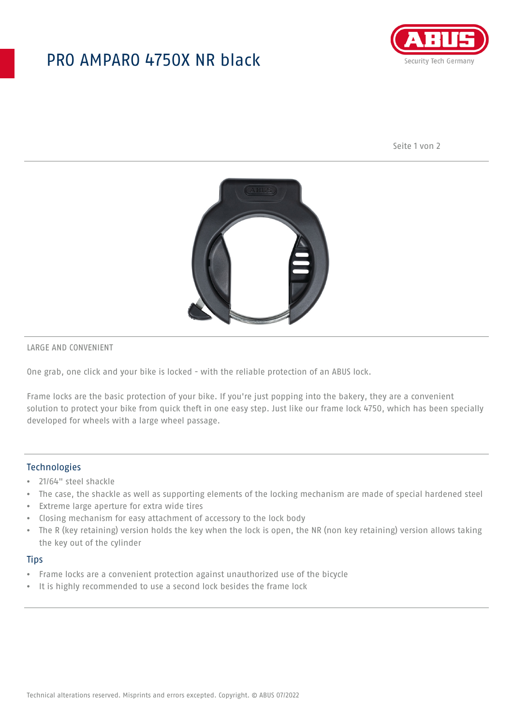## PRO AMPARO 4750X NR black



Seite 1 von 2



LARGE AND CONVENIENT

One grab, one click and your bike is locked - with the reliable protection of an ABUS lock.

Frame locks are the basic protection of your bike. If you're just popping into the bakery, they are a convenient solution to protect your bike from quick theft in one easy step. Just like our frame lock 4750, which has been specially developed for wheels with a large wheel passage.

### Technologies

- 21/64" steel shackle
- The case, the shackle as well as supporting elements of the locking mechanism are made of special hardened steel
- Extreme large aperture for extra wide tires
- Closing mechanism for easy attachment of accessory to the lock body
- The R (key retaining) version holds the key when the lock is open, the NR (non key retaining) version allows taking the key out of the cylinder

#### **Tips**

- Frame locks are a convenient protection against unauthorized use of the bicycle
- It is highly recommended to use a second lock besides the frame lock